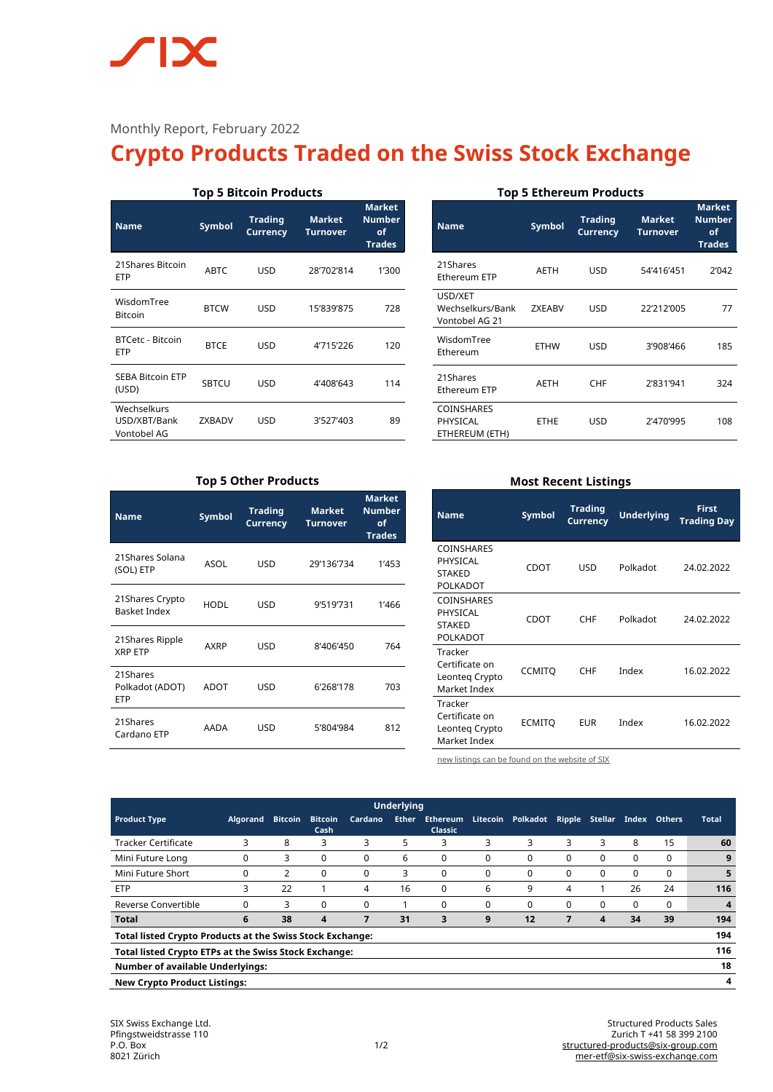# $\sqrt{\phantom{a}}$

### Monthly Report, February 2022

## **Crypto Products Traded on the Swiss Stock Exchange**

| <b>Top 5 Bitcoin Products</b>              |               |                                                                       |            |                                                       |  |  |  |  |  |
|--------------------------------------------|---------------|-----------------------------------------------------------------------|------------|-------------------------------------------------------|--|--|--|--|--|
| <b>Name</b>                                | <b>Symbol</b> | <b>Trading</b><br><b>Market</b><br><b>Currency</b><br><b>Turnover</b> |            | <b>Market</b><br><b>Number</b><br>of<br><b>Trades</b> |  |  |  |  |  |
| 21 Shares Bitcoin<br>ETP                   | <b>ABTC</b>   | USD                                                                   | 28'702'814 | 1'300                                                 |  |  |  |  |  |
| WisdomTree<br><b>Bitcoin</b>               | <b>BTCW</b>   | USD                                                                   | 15'839'875 | 728                                                   |  |  |  |  |  |
| <b>BTCetc - Bitcoin</b><br>ETP             | <b>BTCE</b>   | USD                                                                   | 4'715'226  | 120                                                   |  |  |  |  |  |
| <b>SEBA Bitcoin ETP</b><br>(USD)           | <b>SBTCU</b>  | USD                                                                   | 4'408'643  | 114                                                   |  |  |  |  |  |
| Wechselkurs<br>USD/XBT/Bank<br>Vontobel AG | ZXBADV        | USD                                                                   | 3'527'403  | 89                                                    |  |  |  |  |  |

#### **Top 5 Ethereum Products**

| <b>Name</b>                                   | <b>Trading</b><br><b>Symbol</b><br><b>Currency</b> |            | <b>Market</b><br>Turnover | <b>Market</b><br><b>Number</b><br>of<br><b>Trades</b> |  |
|-----------------------------------------------|----------------------------------------------------|------------|---------------------------|-------------------------------------------------------|--|
| 21Shares<br>Ethereum ETP                      | <b>AETH</b>                                        | USD        | 54'416'451                | 2'042                                                 |  |
| USD/XET<br>Wechselkurs/Bank<br>Vontobel AG 21 | <b>ZXEABV</b>                                      | <b>USD</b> | 22'212'005                | 77                                                    |  |
| WisdomTree<br>Ethereum                        | ETHW                                               | USD        | 3'908'466                 | 185                                                   |  |
| 21Shares<br>Ethereum ETP                      | AETH                                               | <b>CHF</b> | 2'831'941                 | 324                                                   |  |
| COINSHARES<br>PHYSICAL<br>ETHEREUM (ETH)      | <b>ETHE</b>                                        | <b>USD</b> | 2'470'995                 | 108                                                   |  |

#### **Top 5 Other Products**

| <b>Name</b>                               | <b>Symbol</b> | <b>Trading</b><br><b>Currency</b> | <b>Market</b><br><b>Turnover</b> | <b>Market</b><br><b>Number</b><br>of<br><b>Trades</b> |  |
|-------------------------------------------|---------------|-----------------------------------|----------------------------------|-------------------------------------------------------|--|
| 21Shares Solana<br>(SOL) ETP              | ASOL          | <b>USD</b>                        | 29'136'734                       | 1'453                                                 |  |
| 21 Shares Crypto<br><b>Basket Index</b>   | HODL          | <b>USD</b>                        | 9'519'731                        | 1'466                                                 |  |
| 21 Shares Ripple<br><b>XRP ETP</b>        | AXRP          | <b>USD</b>                        | 8'406'450                        | 764                                                   |  |
| 21Shares<br>Polkadot (ADOT)<br><b>ETP</b> | ADOT          | <b>USD</b>                        | 6'268'178                        | 703                                                   |  |
| 21Shares<br>Cardano ETP                   | AADA          | <b>USD</b>                        | 5'804'984                        | 812                                                   |  |

#### **Most Recent Listings**

| <b>Name</b>                                                 | Symbol        | <b>Trading</b><br>Currency | <b>Underlying</b> | <b>First</b><br><b>Trading Day</b> |
|-------------------------------------------------------------|---------------|----------------------------|-------------------|------------------------------------|
| COINSHARES<br>PHYSICAL<br><b>STAKED</b><br>POLKADOT         | CDOT          | USD                        | Polkadot          | 24.02.2022                         |
| <b>COINSHARES</b><br>PHYSICAL<br><b>STAKED</b><br>POLKADOT  | CDOT          | <b>CHF</b>                 | Polkadot          | 24.02.2022                         |
| Tracker<br>Certificate on<br>Leonteg Crypto<br>Market Index | <b>CCMITO</b> | <b>CHF</b>                 | Index             | 16.02.2022                         |
| Tracker<br>Certificate on<br>Leonteg Crypto<br>Market Index | <b>ECMITO</b> | <b>EUR</b>                 | Index             | 16.02.2022                         |

[new listings can be found on the website of SIX](https://www.six-structured-products.com/de/suche/Krypto%20Produkte)

| <b>Underlying</b>                                                       |                 |                |                        |          |              |                                   |          |          |               |                |       |               |       |
|-------------------------------------------------------------------------|-----------------|----------------|------------------------|----------|--------------|-----------------------------------|----------|----------|---------------|----------------|-------|---------------|-------|
| <b>Product Type</b>                                                     | <b>Algorand</b> | <b>Bitcoin</b> | <b>Bitcoin</b><br>Cash | Cardano  | <b>Ether</b> | <b>Ethereum</b><br><b>Classic</b> | Litecoin | Polkadot | <b>Ripple</b> | <b>Stellar</b> | Index | <b>Others</b> | Total |
| <b>Tracker Certificate</b>                                              | 3               | 8              | 3                      | 3        | 5            | 3                                 | 3        | 3        | 3             | 3              | 8     | 15            | 60    |
| Mini Future Long                                                        | 0               | 3              | 0                      | 0        | 6            | $\Omega$                          | $\Omega$ | 0        | $\Omega$      | 0              | 0     | $\Omega$      | 9     |
| Mini Future Short                                                       | 0               | 2              | 0                      | 0        | 3            | $\Omega$                          | $\Omega$ | 0        | $\Omega$      | 0              | 0     | $\Omega$      | 5     |
| <b>ETP</b>                                                              | 3               | 22             |                        | 4        | 16           | $\Omega$                          | 6        | 9        | 4             |                | 26    | 24            | 116   |
| Reverse Convertible                                                     | $\Omega$        | 3              | $\Omega$               | $\Omega$ |              | $\Omega$                          | $\Omega$ | 0        | $\Omega$      | $\Omega$       | 0     | $\Omega$      | 4     |
| <b>Total</b>                                                            | 6               | 38             | 4                      | 7        | 31           | 3                                 | 9        | 12       |               | 4              | 34    | 39            | 194   |
| 194<br><b>Total listed Crypto Products at the Swiss Stock Exchange:</b> |                 |                |                        |          |              |                                   |          |          |               |                |       |               |       |
| 116<br>Total listed Crypto ETPs at the Swiss Stock Exchange:            |                 |                |                        |          |              |                                   |          |          |               |                |       |               |       |
| 18<br><b>Number of available Underlyings:</b>                           |                 |                |                        |          |              |                                   |          |          |               |                |       |               |       |
| 4<br><b>New Crypto Product Listings:</b>                                |                 |                |                        |          |              |                                   |          |          |               |                |       |               |       |